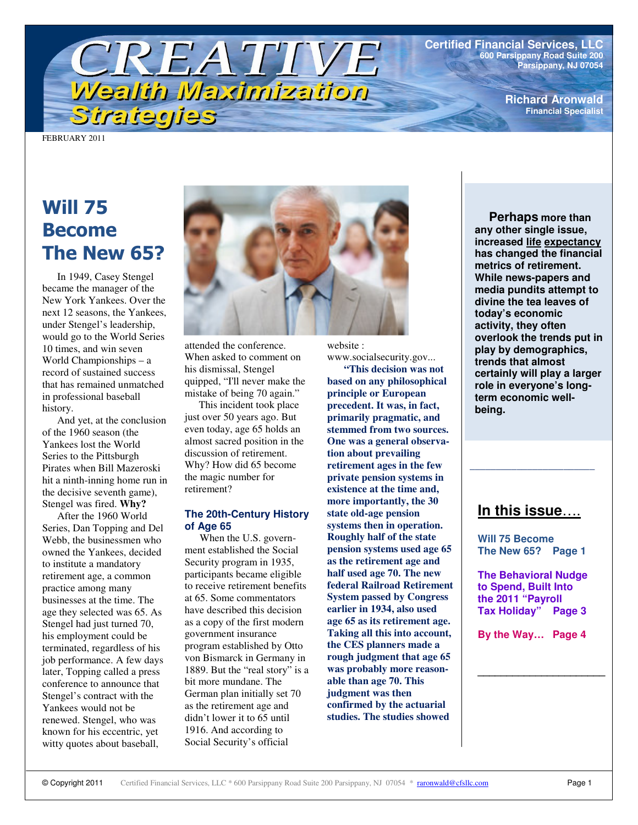

**Certified Financial Services, LLC 600 Parsippany Road Suite 200 Parsippany, NJ 07054**

> **Richard Aronwald Financial Specialist**

FEBRUARY 2011

# **Will 75 Become** The New 65?

In 1949, Casey Stengel became the manager of the New York Yankees. Over the next 12 seasons, the Yankees under Stengel's leadership, would go to the World Series 10 times, and win seven World Championships – a record of sustained success that has remained unmatched in professional baseball history.

And yet, at the conclusion of the 1960 season (the Yankees lost the World Series to the Pittsburgh Pirates when Bill Mazeroski hit a ninth-inning home run in the decisive seventh game), Stengel was fired. **Why?**

After the 1960 World Series, Dan Topping and Del Webb, the businessmen who owned the Yankees, decided to institute a mandatory retirement age, a common practice among many businesses at the time. The age they selected was 65. As Stengel had just turned 70, his employment could be terminated, regardless of his job performance. A few days later, Topping called a press conference to announce that Stengel's contract with the Yankees would not be renewed. Stengel, who was known for his eccentric, yet witty quotes about baseball,



attended the conference. When asked to comment on his dismissal, Stengel quipped, "I'll never make the mistake of being 70 again."

This incident took place just over 50 years ago. But even today, age 65 holds an almost sacred position in the discussion of retirement. Why? How did 65 become the magic number for retirement?

## **The 20th-Century History of Age 65**

When the U.S. government established the Social Security program in 1935, participants became eligible to receive retirement benefits at 65. Some commentators have described this decision as a copy of the first modern government insurance program established by Otto von Bismarck in Germany in 1889. But the "real story" is a bit more mundane. The German plan initially set 70 as the retirement age and didn't lower it to 65 until 1916. And according to Social Security's official

website : www.socialsecurity.gov...

**"This decision was not based on any philosophical principle or European precedent. It was, in fact, primarily pragmatic, and stemmed from two sources. One was a general observation about prevailing retirement ages in the few private pension systems in existence at the time and, more importantly, the 30 state old-age pension systems then in operation. Roughly half of the state pension systems used age 65 as the retirement age and half used age 70. The new federal Railroad Retirement System passed by Congress earlier in 1934, also used age 65 as its retirement age. Taking all this into account, the CES planners made a rough judgment that age 65 was probably more reasonable than age 70. This judgment was then confirmed by the actuarial studies. The studies showed**

**Perhaps more than any other single issue, increased life expectancy has changed the financial metrics of retirement. While news-papers and media pundits attempt to divine the tea leaves of today's economic activity, they often overlook the trends put in play by demographics, trends that almost certainly will play a larger role in everyone's longterm economic wellbeing.**

# **In this issue**….

**\_\_\_\_\_\_\_\_\_\_\_\_\_\_\_\_\_\_\_\_\_\_\_\_**

**Will 75 Become The New 65? Page 1**

**The Behavioral Nudge to Spend, Built Into the 2011 "Payroll Tax Holiday" Page 3**

**By the Way… Page 4**

**\_\_\_\_\_\_\_\_\_\_\_\_\_\_\_\_\_\_\_\_\_\_**

© Copyright 2011 Certified Financial Services, LLC \* 600 Parsippany Road Suite 200 Parsippany, NJ 07054 \* raronwald@cfsllc.com Page 1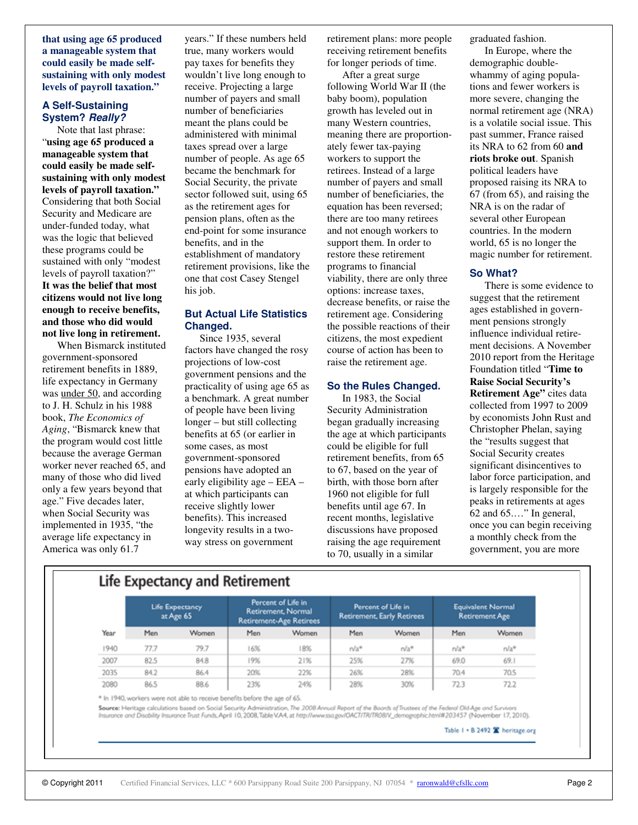**that using age 65 produced a manageable system that could easily be made selfsustaining with only modest levels of payroll taxation."**

#### **A Self-Sustaining System?** *Really?*

Note that last phrase: "**using age 65 produced a manageable system that could easily be made selfsustaining with only modest levels of payroll taxation."** Considering that both Social Security and Medicare are under-funded today, what was the logic that believed these programs could be sustained with only "modest levels of payroll taxation?" **It was the belief that most citizens would not live long enough to receive benefits, and those who did would not live long in retirement.**

When Bismarck instituted government-sponsored retirement benefits in 1889, life expectancy in Germany was under 50, and according to J. H. Schulz in his 1988 book, *The Economics of Aging*, "Bismarck knew that the program would cost little because the average German worker never reached 65, and many of those who did lived only a few years beyond that age." Five decades later, when Social Security was implemented in 1935, "the average life expectancy in America was only 61.7

years." If these numbers held true, many workers would pay taxes for benefits they wouldn't live long enough to receive. Projecting a large number of payers and small number of beneficiaries meant the plans could be administered with minimal taxes spread over a large number of people. As age 65 became the benchmark for Social Security, the private sector followed suit, using 65 as the retirement ages for pension plans, often as the end-point for some insurance benefits, and in the establishment of mandatory retirement provisions, like the one that cost Casey Stengel his job.

# **But Actual Life Statistics Changed.**

Since 1935, several factors have changed the rosy projections of low-cost government pensions and the practicality of using age 65 as a benchmark. A great number of people have been living longer – but still collecting benefits at 65 (or earlier in some cases, as most government-sponsored pensions have adopted an early eligibility age – EEA – at which participants can receive slightly lower benefits). This increased longevity results in a twoway stress on government

retirement plans: more people receiving retirement benefits for longer periods of time.

After a great surge following World War II (the baby boom), population growth has leveled out in many Western countries, meaning there are proportionately fewer tax-paying workers to support the retirees. Instead of a large number of payers and small number of beneficiaries, the equation has been reversed; there are too many retirees and not enough workers to support them. In order to restore these retirement programs to financial viability, there are only three options: increase taxes, decrease benefits, or raise the retirement age. Considering the possible reactions of their citizens, the most expedient course of action has been to raise the retirement age.

#### **So the Rules Changed.**

In 1983, the Social Security Administration began gradually increasing the age at which participants could be eligible for full retirement benefits, from 65 to 67, based on the year of birth, with those born after 1960 not eligible for full benefits until age 67. In recent months, legislative discussions have proposed raising the age requirement to 70, usually in a similar

graduated fashion.

In Europe, where the demographic doublewhammy of aging populations and fewer workers is more severe, changing the normal retirement age (NRA) is a volatile social issue. This past summer, France raised its NRA to 62 from 60 **and riots broke out**. Spanish political leaders have proposed raising its NRA to 67 (from 65), and raising the NRA is on the radar of several other European countries. In the modern world, 65 is no longer the magic number for retirement.

#### **So What?**

There is some evidence to suggest that the retirement ages established in government pensions strongly influence individual retirement decisions. A November 2010 report from the Heritage Foundation titled "**Time to Raise Social Security's Retirement Age"** cites data collected from 1997 to 2009 by economists John Rust and Christopher Phelan, saying the "results suggest that Social Security creates significant disincentives to labor force participation, and is largely responsible for the peaks in retirements at ages 62 and 65.…" In general, once you can begin receiving a monthly check from the government, you are more

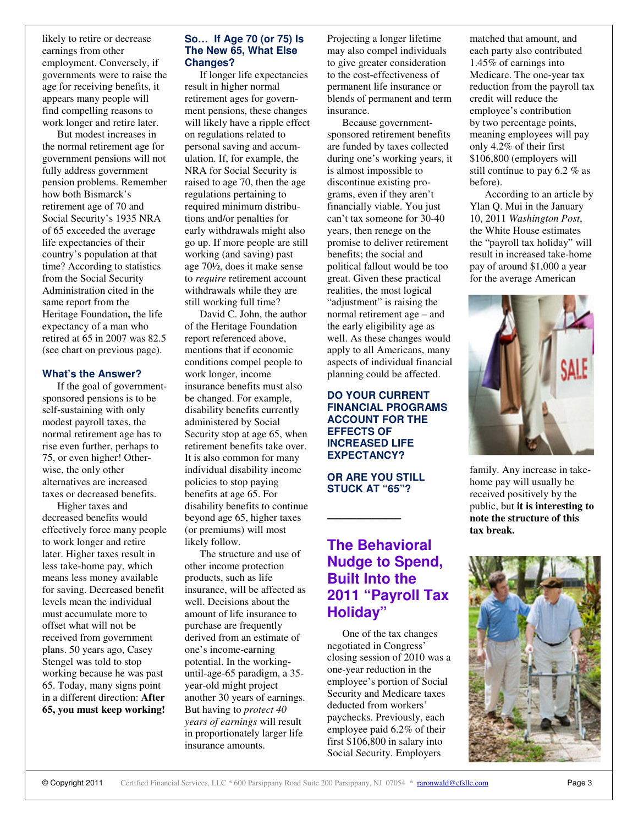likely to retire or decrease earnings from other employment. Conversely, if governments were to raise the age for receiving benefits, it appears many people will find compelling reasons to work longer and retire later.

But modest increases in the normal retirement age for government pensions will not fully address government pension problems. Remember how both Bismarck's retirement age of 70 and Social Security's 1935 NRA of 65 exceeded the average life expectancies of their country's population at that time? According to statistics from the Social Security Administration cited in the same report from the Heritage Foundation**,** the life expectancy of a man who retired at 65 in 2007 was 82.5 (see chart on previous page).

#### **What's the Answer?**

If the goal of governmentsponsored pensions is to be self-sustaining with only modest payroll taxes, the normal retirement age has to rise even further, perhaps to 75, or even higher! Otherwise, the only other alternatives are increased taxes or decreased benefits.

Higher taxes and decreased benefits would effectively force many people to work longer and retire later. Higher taxes result in less take-home pay, which means less money available for saving. Decreased benefit levels mean the individual must accumulate more to offset what will not be received from government plans. 50 years ago, Casey Stengel was told to stop working because he was past 65. Today, many signs point in a different direction: **After 65, you must keep working!**

# **So… If Age 70 (or 75) Is The New 65, What Else Changes?**

If longer life expectancies result in higher normal retirement ages for government pensions, these changes will likely have a ripple effect on regulations related to personal saving and accumulation. If, for example, the NRA for Social Security is raised to age 70, then the age regulations pertaining to required minimum distributions and/or penalties for early withdrawals might also go up. If more people are still working (and saving) past age 70½, does it make sense to *require* retirement account withdrawals while they are still working full time?

David C. John, the author of the Heritage Foundation report referenced above, mentions that if economic conditions compel people to work longer, income insurance benefits must also be changed. For example, disability benefits currently administered by Social Security stop at age 65, when retirement benefits take over. It is also common for many individual disability income policies to stop paying benefits at age 65. For disability benefits to continue beyond age 65, higher taxes (or premiums) will most likely follow.

The structure and use of other income protection products, such as life insurance, will be affected as well. Decisions about the amount of life insurance to purchase are frequently derived from an estimate of one's income-earning potential. In the workinguntil-age-65 paradigm, a 35 year-old might project another 30 years of earnings. But having to *protect 40 years of earnings* will result in proportionately larger life insurance amounts.

Projecting a longer lifetime may also compel individuals to give greater consideration to the cost-effectiveness of permanent life insurance or blends of permanent and term insurance.

Because governmentsponsored retirement benefits are funded by taxes collected during one's working years, it is almost impossible to discontinue existing programs, even if they aren't financially viable. You just can't tax someone for 30-40 years, then renege on the promise to deliver retirement benefits; the social and political fallout would be too great. Given these practical realities, the most logical "adjustment" is raising the normal retirement age – and the early eligibility age as well. As these changes would apply to all Americans, many aspects of individual financial planning could be affected.

# **DO YOUR CURRENT FINANCIAL PROGRAMS ACCOUNT FOR THE EFFECTS OF INCREASED LIFE EXPECTANCY?**

**OR ARE YOU STILL STUCK AT "65"?**

 $\frac{1}{2}$  . The contract of the contract of  $\frac{1}{2}$ 

# **The Behavioral Nudge to Spend, Built Into the 2011 "Payroll Tax Holiday"**

One of the tax changes negotiated in Congress' closing session of 2010 was a one-year reduction in the employee's portion of Social Security and Medicare taxes deducted from workers' paychecks. Previously, each employee paid 6.2% of their first \$106,800 in salary into Social Security. Employers

matched that amount, and each party also contributed 1.45% of earnings into Medicare. The one-year tax reduction from the payroll tax credit will reduce the employee's contribution by two percentage points, meaning employees will pay only 4.2% of their first \$106,800 (employers will still continue to pay 6.2 % as before).

According to an article by Ylan Q. Mui in the January 10, 2011 *Washington Post*, the White House estimates the "payroll tax holiday" will result in increased take-home pay of around \$1,000 a year for the average American



family. Any increase in takehome pay will usually be received positively by the public, but **it is interesting to note the structure of this tax break.**

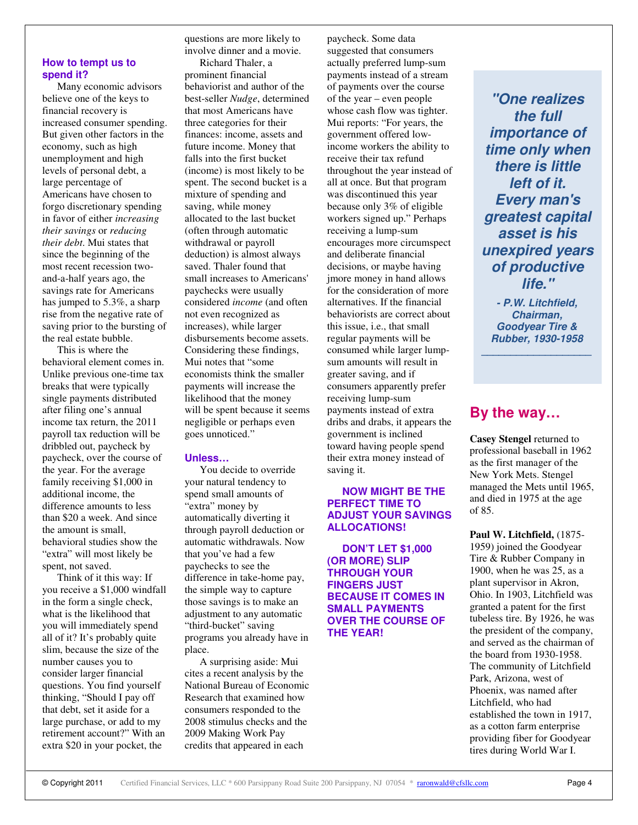### **How to tempt us to spend it?**

Many economic advisors believe one of the keys to financial recovery is increased consumer spending. But given other factors in the economy, such as high unemployment and high levels of personal debt, a large percentage of Americans have chosen to forgo discretionary spending in favor of either *increasing their savings* or *reducing their debt*. Mui states that since the beginning of the most recent recession twoand-a-half years ago, the savings rate for Americans has jumped to 5.3%, a sharp rise from the negative rate of saving prior to the bursting of the real estate bubble.

This is where the behavioral element comes in. Unlike previous one-time tax breaks that were typically single payments distributed after filing one's annual income tax return, the 2011 payroll tax reduction will be dribbled out, paycheck by paycheck, over the course of the year. For the average family receiving \$1,000 in additional income, the difference amounts to less than \$20 a week. And since the amount is small, behavioral studies show the "extra" will most likely be spent, not saved.

Think of it this way: If you receive a \$1,000 windfall in the form a single check, what is the likelihood that you will immediately spend all of it? It's probably quite slim, because the size of the number causes you to consider larger financial questions. You find yourself thinking, "Should I pay off that debt, set it aside for a large purchase, or add to my retirement account?" With an extra \$20 in your pocket, the

questions are more likely to involve dinner and a movie.

Richard Thaler, a prominent financial behaviorist and author of the best-seller *Nudge*, determined that most Americans have three categories for their finances: income, assets and future income. Money that falls into the first bucket (income) is most likely to be spent. The second bucket is a mixture of spending and saving, while money allocated to the last bucket (often through automatic withdrawal or payroll deduction) is almost always saved. Thaler found that small increases to Americans' paychecks were usually considered *income* (and often not even recognized as increases), while larger disbursements become assets. Considering these findings, Mui notes that "some economists think the smaller payments will increase the likelihood that the money will be spent because it seems negligible or perhaps even goes unnoticed."

#### **Unless…**

You decide to override your natural tendency to spend small amounts of "extra" money by automatically diverting it through payroll deduction or automatic withdrawals. Now that you've had a few paychecks to see the difference in take-home pay, the simple way to capture those savings is to make an adjustment to any automatic "third-bucket" saving programs you already have in place.

A surprising aside: Mui cites a recent analysis by the National Bureau of Economic Research that examined how consumers responded to the 2008 stimulus checks and the 2009 Making Work Pay credits that appeared in each

paycheck. Some data suggested that consumers actually preferred lump-sum payments instead of a stream of payments over the course of the year – even people whose cash flow was tighter. Mui reports: "For years, the government offered lowincome workers the ability to receive their tax refund throughout the year instead of all at once. But that program was discontinued this year because only 3% of eligible workers signed up." Perhaps receiving a lump-sum encourages more circumspect and deliberate financial decisions, or maybe having jmore money in hand allows for the consideration of more alternatives. If the financial behaviorists are correct about this issue, i.e., that small regular payments will be consumed while larger lumpsum amounts will result in greater saving, and if consumers apparently prefer receiving lump-sum payments instead of extra dribs and drabs, it appears the government is inclined toward having people spend their extra money instead of saving it.

# **NOW MIGHT BE THE PERFECT TIME TO ADJUST YOUR SAVINGS ALLOCATIONS!**

**DON'T LET \$1,000 (OR MORE) SLIP THROUGH YOUR FINGERS JUST BECAUSE IT COMES IN SMALL PAYMENTS OVER THE COURSE OF THE YEAR!**

*"One realizes the full importance of time only when there is little left of it. Every man's greatest capital asset is his unexpired years of productive life."*

*- P.W. Litchfield, Chairman, Goodyear Tire & Rubber, 1930-1958*

*\_\_\_\_\_\_\_\_\_\_\_\_\_\_\_\_\_\_\_*

# **By the way…**

**Casey Stengel** returned to professional baseball in 1962 as the first manager of the New York Mets. Stengel managed the Mets until 1965, and died in 1975 at the age of 85.

**Paul W. Litchfield,** (1875- 1959) joined the Goodyear Tire & Rubber Company in 1900, when he was 25, as a plant supervisor in Akron, Ohio. In 1903, Litchfield was granted a patent for the first tubeless tire. By 1926, he was the president of the company, and served as the chairman of the board from 1930-1958. The community of Litchfield Park, Arizona, west of Phoenix, was named after Litchfield, who had established the town in 1917, as a cotton farm enterprise providing fiber for Goodyear tires during World War I.